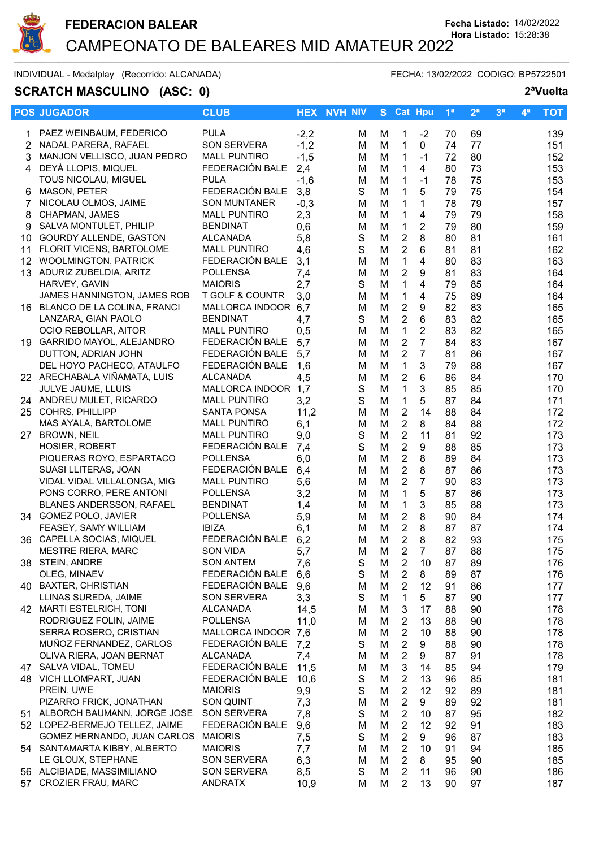

# **SCRATCH MASCULINO** (ASC: 0) **2<sup>a</sup>Vuelta**

INDIVIDUAL - Medalplay (Recorrido: ALCANADA) FECHA: 13/02/2022 CODIGO: BP5722501

|                  | <b>POS JUGADOR</b>             | <b>CLUB</b>         |        | <b>HEX NVH NIV</b> |   | S Cat Hpu               |                | 1 <sup>a</sup> | 2 <sup>a</sup> | 3 <sup>a</sup> | 4 <sup>a</sup> | <b>TOT</b> |
|------------------|--------------------------------|---------------------|--------|--------------------|---|-------------------------|----------------|----------------|----------------|----------------|----------------|------------|
| 1                | PAEZ WEINBAUM, FEDERICO        | <b>PULA</b>         | $-2,2$ | м                  | м | 1                       | $-2$           | 70             | 69             |                |                | 139        |
| 2                | NADAL PARERA, RAFAEL           | <b>SON SERVERA</b>  | $-1,2$ | м                  | M | $\mathbf{1}$            | $\mathbf{0}$   | 74             | 77             |                |                | 151        |
| 3                | MANJON VELLISCO, JUAN PEDRO    | <b>MALL PUNTIRO</b> | $-1,5$ | M                  | M | $\mathbf{1}$            | $-1$           | 72             | 80             |                |                | 152        |
| 4                | DEYÀ LLOPIS, MIQUEL            | FEDERACIÓN BALE     | 2,4    | м                  | M | 1                       | 4              | 80             | 73             |                |                | 153        |
|                  | TOUS NICOLAU, MIGUEL           | <b>PULA</b>         | $-1,6$ | M                  | M | 1                       | $-1$           | 78             | 75             |                |                | 153        |
| 6                | MASON, PETER                   | FEDERACIÓN BALE     | 3,8    | S                  | M | 1                       | 5              | 79             | 75             |                |                | 154        |
|                  | NICOLAU OLMOS, JAIME           | <b>SON MUNTANER</b> | $-0,3$ | м                  | M | 1                       | 1              | 78             | 79             |                |                | 157        |
| 8                | CHAPMAN, JAMES                 | <b>MALL PUNTIRO</b> | 2,3    | M                  | M | 1                       | $\overline{4}$ | 79             | 79             |                |                | 158        |
| 9                | SALVA MONTULET, PHILIP         | <b>BENDINAT</b>     | 0,6    | M                  | M | $\mathbf{1}$            | $\overline{2}$ | 79             | 80             |                |                | 159        |
| 10               | <b>GOURDY ALLENDE, GASTON</b>  | <b>ALCANADA</b>     | 5,8    | S                  | M | $\boldsymbol{2}$        | 8              | 80             | 81             |                |                | 161        |
| 11               | FLORIT VICENS, BARTOLOME       | <b>MALL PUNTIRO</b> | 4,6    | S                  | M | $\overline{2}$          | $6\phantom{1}$ | 81             | 81             |                |                | 162        |
|                  | 12 WOOLMINGTON, PATRICK        | FEDERACIÓN BALE     | 3,1    | M                  | M | $\mathbf{1}$            | 4              | 80             | 83             |                |                | 163        |
| 13 <sup>13</sup> | ADURIZ ZUBELDIA, ARITZ         | <b>POLLENSA</b>     | 7,4    | M                  | M | $\boldsymbol{2}$        | 9              | 81             | 83             |                |                | 164        |
|                  | HARVEY, GAVIN                  | <b>MAIORIS</b>      | 2,7    | S                  | M | $\mathbf{1}$            | 4              | 79             | 85             |                |                | 164        |
|                  | JAMES HANNINGTON, JAMES ROB    | T GOLF & COUNTR     | 3,0    | M                  | M | $\mathbf{1}$            | 4              | 75             | 89             |                |                | 164        |
|                  | 16 BLANCO DE LA COLINA, FRANCI | MALLORCA INDOOR 6,7 |        | м                  | M | $\overline{2}$          | 9              | 82             | 83             |                |                | 165        |
|                  | LANZARA, GIAN PAOLO            | <b>BENDINAT</b>     | 4,7    | S                  | M | $\overline{2}$          | 6              | 83             | 82             |                |                | 165        |
|                  | OCIO REBOLLAR, AITOR           | <b>MALL PUNTIRO</b> | 0,5    | м                  | M | $\mathbf{1}$            | $\overline{2}$ | 83             | 82             |                |                | 165        |
|                  | 19 GARRIDO MAYOL, ALEJANDRO    | FEDERACIÓN BALE     | 5,7    | м                  | M | $\overline{2}$          | $\overline{7}$ | 84             | 83             |                |                | 167        |
|                  | DUTTON, ADRIAN JOHN            | FEDERACIÓN BALE     | 5,7    | м                  | M | $\overline{2}$          | $\overline{7}$ | 81             | 86             |                |                | 167        |
|                  | DEL HOYO PACHECO, ATAULFO      | FEDERACIÓN BALE     | 1,6    | м                  | M | $\mathbf{1}$            | 3              | 79             | 88             |                |                | 167        |
|                  | 22 ARECHABALA VIÑAMATA, LUIS   | <b>ALCANADA</b>     | 4,5    | M                  | M | $\overline{c}$          | 6              | 86             | 84             |                |                | 170        |
|                  | JULVE JAUME, LLUIS             | MALLORCA INDOOR 1,7 |        | S                  | M | $\mathbf 1$             | 3              | 85             | 85             |                |                | 170        |
|                  | 24 ANDREU MULET, RICARDO       | <b>MALL PUNTIRO</b> | 3,2    | S                  | M | $\mathbf 1$             | 5              | 87             | 84             |                |                | 171        |
|                  | 25 COHRS, PHILLIPP             | <b>SANTA PONSA</b>  | 11,2   | M                  | M | $\overline{c}$          | 14             | 88             | 84             |                |                | 172        |
|                  | MAS AYALA, BARTOLOME           | <b>MALL PUNTIRO</b> | 6,1    | M                  | M | $\overline{2}$          | 8              | 84             | 88             |                |                | 172        |
| 27               | <b>BROWN, NEIL</b>             | <b>MALL PUNTIRO</b> | 9,0    | S                  | M | $\overline{2}$          | 11             | 81             | 92             |                |                | 173        |
|                  | <b>HOSIER, ROBERT</b>          | FEDERACIÓN BALE     | 7,4    | S                  | M | $\overline{2}$          | 9              | 88             | 85             |                |                | 173        |
|                  | PIQUERAS ROYO, ESPARTACO       | <b>POLLENSA</b>     | 6,0    | M                  | M | $\overline{2}$          | 8              | 89             | 84             |                |                | 173        |
|                  | SUASI LLITERAS, JOAN           | FEDERACIÓN BALE     | 6,4    | м                  | M | $\overline{2}$          | 8              | 87             | 86             |                |                | 173        |
|                  | VIDAL VIDAL VILLALONGA, MIG    | <b>MALL PUNTIRO</b> | 5,6    | M                  | M | $\overline{2}$          | $\overline{7}$ | 90             | 83             |                |                | 173        |
|                  | PONS CORRO, PERE ANTONI        | <b>POLLENSA</b>     | 3,2    | м                  | M | 1                       | 5              | 87             | 86             |                |                | 173        |
|                  | BLANES ANDERSSON, RAFAEL       | <b>BENDINAT</b>     | 1,4    | м                  | M | $\mathbf{1}$            | 3              | 85             | 88             |                |                | 173        |
|                  | 34 GOMEZ POLO, JAVIER          | <b>POLLENSA</b>     | 5,9    | M                  | M | $\overline{2}$          | 8              | 90             | 84             |                |                | 174        |
|                  | FEASEY, SAMY WILLIAM           | <b>IBIZA</b>        | 6,1    | м                  | M | $\sqrt{2}$              | 8              | 87             | 87             |                |                | 174        |
|                  | 36 CAPELLA SOCIAS, MIQUEL      | FEDERACIÓN BALE     | 6,2    | м                  | M | $\overline{2}$          | 8              | 82             | 93             |                |                | 175        |
|                  | <b>MESTRE RIERA, MARC</b>      | <b>SON VIDA</b>     | 5,7    | М                  | M | $\overline{2}$          | $\overline{7}$ | 87             | 88             |                |                | 175        |
|                  | 38 STEIN, ANDRE                | <b>SON ANTEM</b>    | 7,6    | S                  | M | $\overline{c}$          | 10             | 87             | 89             |                |                | 176        |
|                  | OLEG, MINAEV                   | FEDERACIÓN BALE     | 6,6    | $\mathbf S$        | M | $\overline{2}$          | 8              | 89             | 87             |                |                | 176        |
| 40               | <b>BAXTER, CHRISTIAN</b>       | FEDERACIÓN BALE     | 9,6    | M                  | M | $\overline{2}$          | 12             | 91             | 86             |                |                | 177        |
|                  | LLINAS SUREDA, JAIME           | <b>SON SERVERA</b>  | 3,3    | S                  | M | $\mathbf{1}$            | 5              | 87             | 90             |                |                | 177        |
|                  | 42 MARTI ESTELRICH, TONI       | <b>ALCANADA</b>     | 14,5   | M                  | M | 3                       | 17             | 88             | 90             |                |                | 178        |
|                  | RODRIGUEZ FOLIN, JAIME         | <b>POLLENSA</b>     | 11,0   | м                  | M | 2                       | 13             | 88             | 90             |                |                | 178        |
|                  | SERRA ROSERO, CRISTIAN         | MALLORCA INDOOR 7,6 |        | M                  | M | $\overline{2}$          | 10             | 88             | 90             |                |                | 178        |
|                  | MUÑOZ FERNANDEZ, CARLOS        | FEDERACIÓN BALE     | 7,2    | S                  | M | 2                       | 9              | 88             | 90             |                |                | 178        |
|                  | OLIVA RIERA, JOAN BERNAT       | <b>ALCANADA</b>     | 7,4    | м                  | M | $\overline{\mathbf{c}}$ | 9              | 87             | 91             |                |                | 178        |
|                  | 47 SALVA VIDAL, TOMEU          | FEDERACIÓN BALE     | 11,5   | M                  | M | 3                       | 14             | 85             | 94             |                |                | 179        |
|                  | 48 VICH LLOMPART, JUAN         | FEDERACIÓN BALE     | 10,6   | S                  | M | $\overline{2}$          | 13             | 96             | 85             |                |                | 181        |
|                  | PREIN, UWE                     | <b>MAIORIS</b>      | 9,9    | S                  | M | $\overline{2}$          | 12             | 92             | 89             |                |                | 181        |
|                  | PIZARRO FRICK, JONATHAN        | <b>SON QUINT</b>    | 7,3    | M                  | M | $\boldsymbol{2}$        | 9              | 89             | 92             |                |                | 181        |
|                  | 51 ALBORCH BAUMANN, JORGE JOSE | <b>SON SERVERA</b>  | 7,8    | S                  | M | $\overline{2}$          | 10             | 87             | 95             |                |                | 182        |
|                  | 52 LOPEZ-BERMEJO TELLEZ, JAIME | FEDERACIÓN BALE     | 9,6    | M                  | M | $\overline{2}$          | 12             | 92             | 91             |                |                | 183        |
|                  | GOMEZ HERNANDO, JUAN CARLOS    | <b>MAIORIS</b>      | 7,5    | S                  | M | $\overline{2}$          | 9              | 96             | 87             |                |                | 183        |
|                  | 54 SANTAMARTA KIBBY, ALBERTO   | <b>MAIORIS</b>      | 7,7    | M                  | M | $\overline{2}$          | 10             | 91             | 94             |                |                | 185        |
|                  | LE GLOUX, STEPHANE             | <b>SON SERVERA</b>  | 6,3    | M                  | M | $\overline{2}$          | 8              | 95             | 90             |                |                | 185        |
|                  | 56 ALCIBIADE, MASSIMILIANO     | <b>SON SERVERA</b>  | 8,5    | S                  | M | $\overline{2}$          | 11             | 96             | 90             |                |                | 186        |
|                  | 57 CROZIER FRAU, MARC          | <b>ANDRATX</b>      | 10,9   | М                  | M | 2                       | 13             | 90             | 97             |                |                | 187        |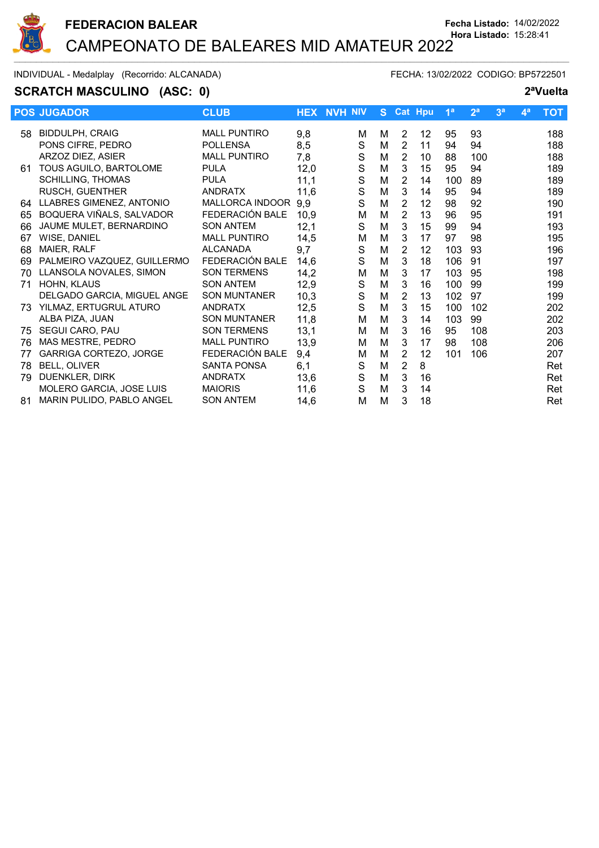

## **SCRATCH MASCULINO** (ASC: 0) **2<sup>a</sup>Vuelta**

|     | <b>POS JUGADOR</b>              | <b>CLUB</b>         |      | <b>HEX NVH NIV</b> | S. |                | <b>Cat Hpu</b> | 1 <sup>a</sup> | 2 <sup>a</sup> | 3 <sup>a</sup> | 4 <sup>a</sup> | <b>TOT</b> |
|-----|---------------------------------|---------------------|------|--------------------|----|----------------|----------------|----------------|----------------|----------------|----------------|------------|
| 58  | <b>BIDDULPH, CRAIG</b>          | <b>MALL PUNTIRO</b> | 9,8  | м                  | М  | 2              | 12             | 95             | 93             |                |                | 188        |
|     | PONS CIFRE, PEDRO               | <b>POLLENSA</b>     | 8,5  | S                  | M  | $\overline{2}$ | 11             | 94             | 94             |                |                | 188        |
|     | ARZOZ DIEZ, ASIER               | <b>MALL PUNTIRO</b> | 7,8  | S                  | M  | $\overline{2}$ | 10             | 88             | 100            |                |                | 188        |
| 61  | TOUS AGUILO, BARTOLOME          | <b>PULA</b>         | 12,0 | S                  | M  | 3              | 15             | 95             | 94             |                |                | 189        |
|     | <b>SCHILLING, THOMAS</b>        | <b>PULA</b>         | 11,1 | S                  | M  | 2              | 14             | 100            | 89             |                |                | 189        |
|     | RUSCH, GUENTHER                 | <b>ANDRATX</b>      | 11,6 | S                  | M  | 3              | 14             | 95             | 94             |                |                | 189        |
| 64  | LLABRES GIMENEZ, ANTONIO        | MALLORCA INDOOR     | 9,9  | S                  | M  | $\overline{2}$ | 12             | 98             | 92             |                |                | 190        |
| 65  | BOQUERA VIÑALS, SALVADOR        | FEDERACIÓN BALE     | 10,9 | M                  | M  | 2              | 13             | 96             | 95             |                |                | 191        |
| 66  | JAUME MULET, BERNARDINO         | <b>SON ANTEM</b>    | 12,1 | S                  | M  | 3              | 15             | 99             | 94             |                |                | 193        |
| 67  | WISE, DANIEL                    | <b>MALL PUNTIRO</b> | 14,5 | М                  | M  | 3              | 17             | 97             | 98             |                |                | 195        |
| 68  | MAIER, RALF                     | <b>ALCANADA</b>     | 9,7  | S                  | M  | $\overline{2}$ | 12             | 103            | 93             |                |                | 196        |
| 69  | PALMEIRO VAZQUEZ, GUILLERMO     | FEDERACIÓN BALE     | 14,6 | S                  | M  | 3              | 18             | 106            | 91             |                |                | 197        |
| 70  | LLANSOLA NOVALES, SIMON         | <b>SON TERMENS</b>  | 14,2 | M                  | M  | 3              | 17             | 103            | 95             |                |                | 198        |
| 71  | HOHN, KLAUS                     | <b>SON ANTEM</b>    | 12,9 | S                  | M  | 3              | 16             | 100            | 99             |                |                | 199        |
|     | DELGADO GARCIA, MIGUEL ANGE     | <b>SON MUNTANER</b> | 10,3 | $\mathbf S$        | M  | $\overline{2}$ | 13             | 102            | 97             |                |                | 199        |
| 73. | YILMAZ, ERTUGRUL ATURO          | <b>ANDRATX</b>      | 12,5 | S                  | M  | 3              | 15             | 100            | 102            |                |                | 202        |
|     | ALBA PIZA, JUAN                 | <b>SON MUNTANER</b> | 11,8 | м                  | M  | 3              | 14             | 103            | 99             |                |                | 202        |
| 75  | SEGUI CARO, PAU                 | <b>SON TERMENS</b>  | 13,1 | М                  | M  | 3              | 16             | 95             | 108            |                |                | 203        |
| 76  | MAS MESTRE, PEDRO               | <b>MALL PUNTIRO</b> | 13,9 | M                  | M  | 3              | 17             | 98             | 108            |                |                | 206        |
| 77  | <b>GARRIGA CORTEZO, JORGE</b>   | FEDERACIÓN BALE     | 9,4  | М                  | M  | 2              | 12             | 101            | 106            |                |                | 207        |
| 78  | BELL, OLIVER                    | <b>SANTA PONSA</b>  | 6,1  | S                  | M  | 2              | 8              |                |                |                |                | Ret        |
| 79  | DUENKLER, DIRK                  | <b>ANDRATX</b>      | 13,6 | $\mathbf S$        | M  | 3              | 16             |                |                |                |                | Ret        |
|     | <b>MOLERO GARCIA, JOSE LUIS</b> | <b>MAIORIS</b>      | 11,6 | S                  | M  | 3              | 14             |                |                |                |                | Ret        |
| 81  | MARIN PULIDO, PABLO ANGEL       | <b>SON ANTEM</b>    | 14,6 | M                  | М  | 3              | 18             |                |                |                |                | Ret        |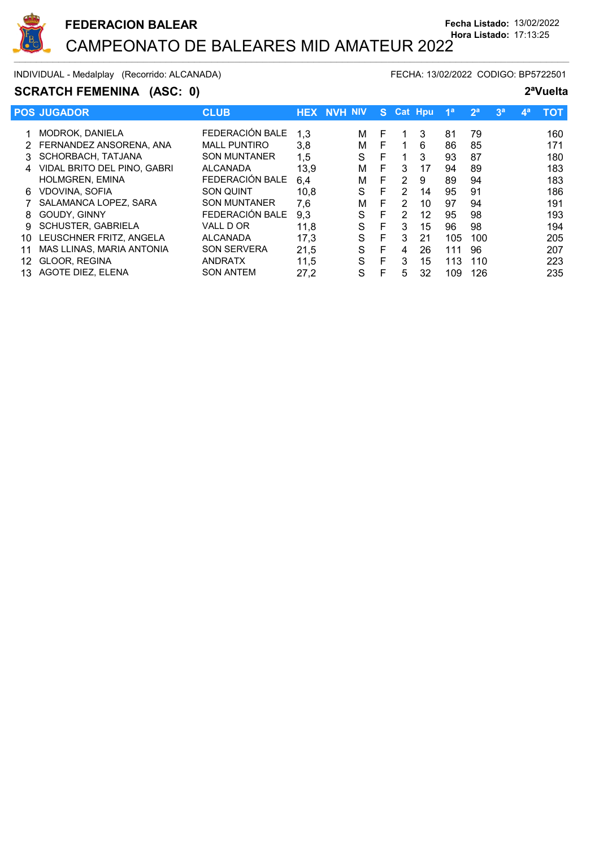

INDIVIDUAL - Medalplay (Recorrido: ALCANADA) FECHA: 13/02/2022 CODIGO: BP5722501

## **SCRATCH FEMENINA** (ASC: 0) **2<sup>a</sup>Vuelta**

|    | <b>POS JUGADOR</b>          | <b>CLUB</b>         | <b>HEX</b> | . NVH NIV' |   | S. | <b>Cat Hpu</b> |    | 1 <sup>a</sup> | 2 <sup>a</sup> | 3 <sup>a</sup> | 49 | <b>TOT</b> |
|----|-----------------------------|---------------------|------------|------------|---|----|----------------|----|----------------|----------------|----------------|----|------------|
|    | MODROK, DANIELA             | FEDERACIÓN BALE     | 1,3        |            | м | F  |                | 3  | 81             | 79             |                |    | 160        |
|    | FERNANDEZ ANSORENA, ANA     | <b>MALL PUNTIRO</b> | 3,8        |            | м | F  |                | 6  | 86             | 85             |                |    | 171        |
|    | SCHORBACH, TATJANA          | <b>SON MUNTANER</b> | 1,5        |            | S | F  |                | 3  | 93             | 87             |                |    | 180        |
| 4  | VIDAL BRITO DEL PINO, GABRI | <b>ALCANADA</b>     | 13,9       |            | м | E  | 3              | 17 | 94             | 89             |                |    | 183        |
|    | <b>HOLMGREN, EMINA</b>      | FEDERACIÓN BALE     | 6,4        |            | м | F  | $\overline{2}$ | 9  | 89             | 94             |                |    | 183        |
| 6  | <b>VDOVINA, SOFIA</b>       | <b>SON QUINT</b>    | 10.8       |            | S | F  | 2              | 14 | 95             | 91             |                |    | 186        |
|    | SALAMANCA LOPEZ, SARA       | <b>SON MUNTANER</b> | 7.6        |            | м | F  | 2              | 10 | 97             | 94             |                |    | 191        |
| 8  | <b>GOUDY, GINNY</b>         | FEDERACIÓN BALE     | 9,3        |            | S | E  | 2              | 12 | 95             | 98             |                |    | 193        |
| 9  | SCHUSTER, GABRIELA          | VALL D OR           | 11,8       |            | S | E  | 3              | 15 | 96             | 98             |                |    | 194        |
| 10 | LEUSCHNER FRITZ, ANGELA     | <b>ALCANADA</b>     | 17,3       |            | S | F  | 3              | 21 | 105            | 100            |                |    | 205        |
|    | MAS LLINAS, MARIA ANTONIA   | <b>SON SERVERA</b>  | 21,5       |            | S | F  | 4              | 26 | 111            | 96             |                |    | 207        |
| 12 | GLOOR, REGINA               | <b>ANDRATX</b>      | 11,5       |            | S | F  | 3              | 15 | 113            | 110            |                |    | 223        |
| 13 | AGOTE DIEZ. ELENA           | <b>SON ANTEM</b>    | 27,2       |            | S | F  | 5              | 32 | 109            | 126            |                |    | 235        |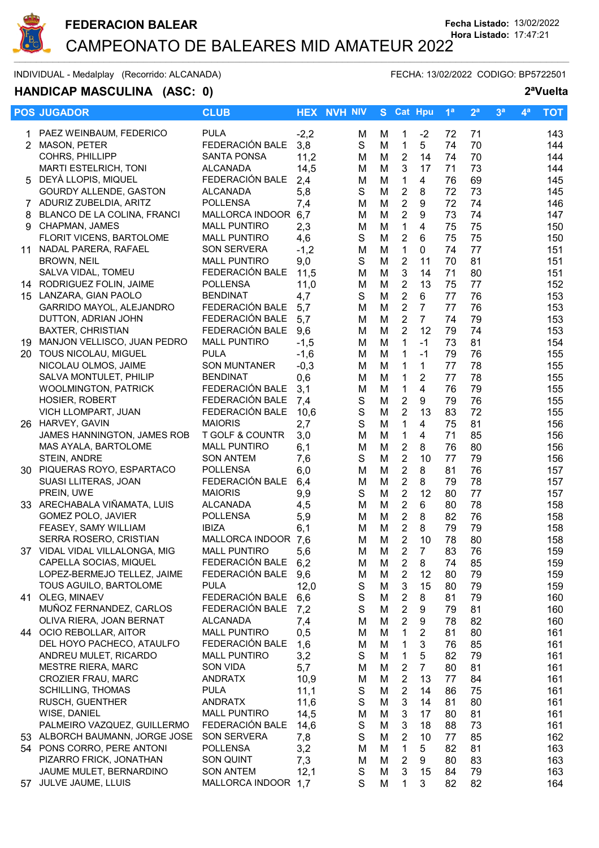

 $\sim$  . The contribution of the contribution of the contribution of the contribution of the contribution of the contribution of the contribution of the contribution of the contribution of the contribution of the contributi

INDIVIDUAL - Medalplay (Recorrido: ALCANADA) FECHA: 13/02/2022 CODIGO: BP5722501

# **HANDICAP MASCULINA (ASC: 0) 2ªVuelta**

|                | <b>POS JUGADOR</b>                                       | <b>CLUB</b>                            | <b>HEX</b>    | <b>NVH NIV</b>   | S.     | <b>Cat Hpu</b>                   |                     | 1 <sup>a</sup> | 2 <sup>a</sup> | 3 <sup>a</sup> | $4^a$ | <b>TOT</b> |
|----------------|----------------------------------------------------------|----------------------------------------|---------------|------------------|--------|----------------------------------|---------------------|----------------|----------------|----------------|-------|------------|
|                | PAEZ WEINBAUM, FEDERICO                                  | <b>PULA</b>                            | $-2,2$        | м                | м      | 1                                | $-2$                | 72             | 71             |                |       | 143        |
| $\overline{2}$ | MASON, PETER                                             | FEDERACIÓN BALE                        | 3,8           | $\mathsf S$      | M      | $\mathbf{1}$                     | 5                   | 74             | 70             |                |       | 144        |
|                | COHRS, PHILLIPP                                          | <b>SANTA PONSA</b>                     | 11,2          | M                | M      | $\overline{2}$                   | 14                  | 74             | 70             |                |       | 144        |
|                | MARTI ESTELRICH, TONI                                    | <b>ALCANADA</b>                        | 14,5          | м                | M      | $\mathbf{3}$                     | 17                  | 71             | 73             |                |       | 144        |
|                | 5 DEYÀ LLOPIS, MIQUEL                                    | FEDERACIÓN BALE                        | 2,4           | M                | M      | $\mathbf{1}$                     | 4                   | 76             | 69             |                |       | 145        |
|                | <b>GOURDY ALLENDE, GASTON</b>                            | <b>ALCANADA</b>                        | 5,8           | $\mathsf S$      | M      | $\boldsymbol{2}$                 | 8                   | 72             | 73             |                |       | 145        |
|                | 7 ADURIZ ZUBELDIA, ARITZ                                 | <b>POLLENSA</b>                        | 7,4           | M                | M      | $\overline{2}$                   | 9                   | 72             | 74             |                |       | 146        |
| 8              | BLANCO DE LA COLINA, FRANCI                              | MALLORCA INDOOR 6,7                    |               | M                | M      | $\overline{2}$                   | 9                   | 73             | 74             |                |       | 147        |
| 9              | CHAPMAN, JAMES                                           | <b>MALL PUNTIRO</b>                    | 2,3           | M                | M      | $\mathbf{1}$                     | 4                   | 75             | 75             |                |       | 150        |
|                | <b>FLORIT VICENS, BARTOLOME</b>                          | <b>MALL PUNTIRO</b>                    | 4,6           | S<br>M           | M      | $\overline{2}$<br>$\mathbf{1}$   | 6<br>$\mathbf 0$    | 75             | 75<br>77       |                |       | 150<br>151 |
| 11             | NADAL PARERA, RAFAEL<br><b>BROWN, NEIL</b>               | SON SERVERA<br><b>MALL PUNTIRO</b>     | $-1,2$<br>9,0 | S                | M<br>M | $\overline{2}$                   | 11                  | 74<br>70       | 81             |                |       | 151        |
|                | SALVA VIDAL, TOMEU                                       | FEDERACIÓN BALE                        | 11,5          | M                | M      | $\mathbf{3}$                     | 14                  | 71             | 80             |                |       | 151        |
|                | 14 RODRIGUEZ FOLIN, JAIME                                | <b>POLLENSA</b>                        | 11,0          | M                | M      | $\overline{2}$                   | 13                  | 75             | 77             |                |       | 152        |
|                | 15 LANZARA, GIAN PAOLO                                   | <b>BENDINAT</b>                        | 4,7           | S                | M      | $\overline{2}$                   | 6                   | 77             | 76             |                |       | 153        |
|                | GARRIDO MAYOL, ALEJANDRO                                 | FEDERACIÓN BALE                        | 5,7           | M                | M      | $\overline{2}$                   | $\overline{7}$      | 77             | 76             |                |       | 153        |
|                | DUTTON, ADRIAN JOHN                                      | FEDERACIÓN BALE                        | 5,7           | м                | M      | $\overline{2}$                   | $\overline{7}$      | 74             | 79             |                |       | 153        |
|                | <b>BAXTER, CHRISTIAN</b>                                 | FEDERACIÓN BALE                        | 9,6           | M                | M      | $\overline{2}$                   | 12                  | 79             | 74             |                |       | 153        |
|                | 19 MANJON VELLISCO, JUAN PEDRO                           | <b>MALL PUNTIRO</b>                    | $-1,5$        | M                | M      | $\mathbf{1}$                     | $-1$                | 73             | 81             |                |       | 154        |
|                | 20 TOUS NICOLAU, MIGUEL                                  | <b>PULA</b>                            | $-1,6$        | M                | M      | $\mathbf{1}$                     | $-1$                | 79             | 76             |                |       | 155        |
|                | NICOLAU OLMOS, JAIME                                     | <b>SON MUNTANER</b>                    | $-0,3$        | M                | M      | $\mathbf 1$                      | 1                   | 77             | 78             |                |       | 155        |
|                | SALVA MONTULET, PHILIP                                   | <b>BENDINAT</b>                        | 0,6           | M                | M      | $\mathbf 1$                      | $\overline{2}$      | 77             | 78             |                |       | 155        |
|                | <b>WOOLMINGTON, PATRICK</b>                              | FEDERACIÓN BALE<br>FEDERACIÓN BALE     | 3,1           | M                | M      | $\mathbf{1}$                     | 4                   | 76             | 79             |                |       | 155        |
|                | HOSIER, ROBERT<br>VICH LLOMPART, JUAN                    | FEDERACIÓN BALE                        | 7,4<br>10,6   | $\mathsf S$<br>S | M<br>M | $\overline{2}$<br>$\overline{2}$ | 9<br>13             | 79<br>83       | 76<br>72       |                |       | 155<br>155 |
|                | 26 HARVEY, GAVIN                                         | <b>MAIORIS</b>                         | 2,7           | $\mathbf S$      | M      | $\mathbf{1}$                     | $\overline{4}$      | 75             | 81             |                |       | 156        |
|                | JAMES HANNINGTON, JAMES ROB                              | <b>T GOLF &amp; COUNTR</b>             | 3,0           | M                | M      | $\mathbf{1}$                     | 4                   | 71             | 85             |                |       | 156        |
|                | MAS AYALA, BARTOLOME                                     | <b>MALL PUNTIRO</b>                    | 6,1           | M                | M      | $\boldsymbol{2}$                 | 8                   | 76             | 80             |                |       | 156        |
|                | STEIN, ANDRE                                             | <b>SON ANTEM</b>                       | 7,6           | S                | M      | $\boldsymbol{2}$                 | 10                  | 77             | 79             |                |       | 156        |
|                | 30 PIQUERAS ROYO, ESPARTACO                              | <b>POLLENSA</b>                        | 6,0           | M                | M      | $\overline{2}$                   | 8                   | 81             | 76             |                |       | 157        |
|                | SUASI LLITERAS, JOAN                                     | FEDERACIÓN BALE                        | 6,4           | M                | M      | $\overline{2}$                   | 8                   | 79             | 78             |                |       | 157        |
|                | PREIN, UWE                                               | <b>MAIORIS</b>                         | 9,9           | S                | M      | $\overline{2}$                   | 12                  | 80             | 77             |                |       | 157        |
|                | 33 ARECHABALA VIÑAMATA, LUIS                             | <b>ALCANADA</b>                        | 4,5           | M                | M      | $\overline{2}$                   | 6                   | 80             | 78             |                |       | 158        |
|                | GOMEZ POLO, JAVIER                                       | <b>POLLENSA</b>                        | 5,9           | M                | M      | $\overline{2}$                   | 8                   | 82             | 76             |                |       | 158        |
|                | FEASEY, SAMY WILLIAM                                     | <b>IBIZA</b>                           | 6,1           | M                | M      | $\overline{2}$                   | 8                   | 79             | 79             |                |       | 158        |
|                | SERRA ROSERO, CRISTIAN                                   | MALLORCA INDOOR                        | 7,6           | M                | M      | $\overline{2}$                   | 10                  | 78             | 80             |                |       | 158        |
|                | 37 VIDAL VIDAL VILLALONGA, MIG<br>CAPELLA SOCIAS, MIQUEL | <b>MALL PUNTIRO</b><br>FEDERACIÓN BALE | 5,6           | М                | M      | 2                                | $\overline{7}$<br>8 | 83             | 76             |                |       | 159        |
|                | LOPEZ-BERMEJO TELLEZ, JAIME                              | FEDERACIÓN BALE                        | 6,2<br>9,6    | М<br>M           | M<br>M | 2<br>$\overline{2}$              | 12                  | 74<br>80       | 85<br>79       |                |       | 159<br>159 |
|                | TOUS AGUILO, BARTOLOME                                   | <b>PULA</b>                            | 12,0          | S                | M      | $\mathbf{3}$                     | 15                  | 80             | 79             |                |       | 159        |
|                | 41 OLEG, MINAEV                                          | FEDERACIÓN BALE                        | 6,6           | ${\mathsf S}$    | M      | $\sqrt{2}$                       | 8                   | 81             | 79             |                |       | 160        |
|                | MUÑOZ FERNANDEZ, CARLOS                                  | FEDERACIÓN BALE                        | 7,2           | $\mathsf S$      | M      | $\sqrt{2}$                       | 9                   | 79             | 81             |                |       | 160        |
|                | OLIVA RIERA, JOAN BERNAT                                 | <b>ALCANADA</b>                        | 7,4           | M                | M      | $\overline{2}$                   | 9                   | 78             | 82             |                |       | 160        |
|                | 44 OCIO REBOLLAR, AITOR                                  | <b>MALL PUNTIRO</b>                    | 0,5           | M                | M      | $\mathbf{1}$                     | $\overline{2}$      | 81             | 80             |                |       | 161        |
|                | DEL HOYO PACHECO, ATAULFO                                | FEDERACIÓN BALE                        | 1,6           | M                | M      | 1                                | 3                   | 76             | 85             |                |       | 161        |
|                | ANDREU MULET, RICARDO                                    | <b>MALL PUNTIRO</b>                    | 3,2           | S                | M      | 1                                | 5                   | 82             | 79             |                |       | 161        |
|                | MESTRE RIERA, MARC                                       | SON VIDA                               | 5,7           | M                | M      | $\overline{2}$                   | $\overline{7}$      | 80             | 81             |                |       | 161        |
|                | CROZIER FRAU, MARC                                       | <b>ANDRATX</b>                         | 10,9          | M                | M      | $\overline{2}$                   | 13                  | 77             | 84             |                |       | 161        |
|                | <b>SCHILLING, THOMAS</b>                                 | <b>PULA</b>                            | 11,1          | S                | M      | $\overline{2}$                   | 14                  | 86             | 75             |                |       | 161        |
|                | RUSCH, GUENTHER                                          | <b>ANDRATX</b><br><b>MALL PUNTIRO</b>  | 11,6          | S<br>M           | M      | 3<br>3                           | 14                  | 81             | 80             |                |       | 161        |
|                | WISE, DANIEL<br>PALMEIRO VAZQUEZ, GUILLERMO              | FEDERACIÓN BALE                        | 14,5<br>14,6  | $\mathsf S$      | M<br>M | 3                                | 17<br>18            | 80<br>88       | 81<br>73       |                |       | 161<br>161 |
|                | 53 ALBORCH BAUMANN, JORGE JOSE                           | <b>SON SERVERA</b>                     | 7,8           | $\mathbf S$      | M      | $\overline{2}$                   | 10                  | 77             | 85             |                |       | 162        |
|                | 54 PONS CORRO, PERE ANTONI                               | <b>POLLENSA</b>                        | 3,2           | M                | M      | $\mathbf{1}$                     | 5                   | 82             | 81             |                |       | 163        |
|                | PIZARRO FRICK, JONATHAN                                  | SON QUINT                              | 7,3           | M                | M      | $\overline{2}$                   | 9                   | 80             | 83             |                |       | 163        |
|                | JAUME MULET, BERNARDINO                                  | <b>SON ANTEM</b>                       | 12,1          | S                | M      | $\mathbf{3}$                     | 15                  | 84             | 79             |                |       | 163        |
|                | 57 JULVE JAUME, LLUIS                                    | MALLORCA INDOOR 1,7                    |               | S                | M      | 1                                | 3                   | 82             | 82             |                |       | 164        |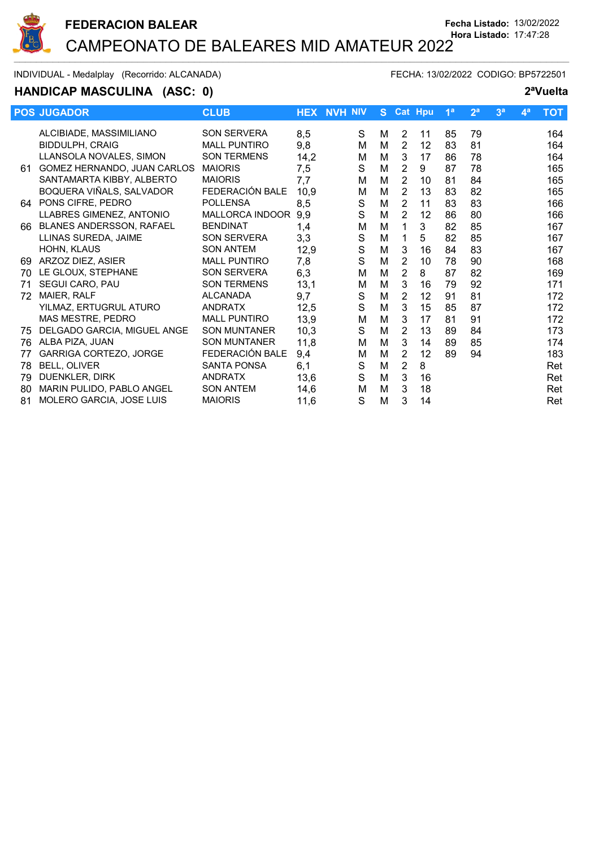

INDIVIDUAL - Medalplay (Recorrido: ALCANADA) FECHA: 13/02/2022 CODIGO: BP5722501

### **HANDICAP MASCULINA (ASC: 0) 2ªVuelta**

|    | <b>POS JUGADOR</b>            | <b>CLUB</b>         |      | <b>HEX NVH NIV</b> | S. |                | <b>Cat Hpu</b> | 1 <sup>a</sup> | 2 <sup>a</sup> | 3 <sup>a</sup> | $\mathbf{4}^{\mathsf{a}}$ | <b>TOT</b> |
|----|-------------------------------|---------------------|------|--------------------|----|----------------|----------------|----------------|----------------|----------------|---------------------------|------------|
|    | ALCIBIADE, MASSIMILIANO       | <b>SON SERVERA</b>  | 8,5  | S                  | М  | 2              | 11             | 85             | 79             |                |                           | 164        |
|    | <b>BIDDULPH, CRAIG</b>        | <b>MALL PUNTIRO</b> | 9,8  | M                  | M  | $\overline{2}$ | 12             | 83             | 81             |                |                           | 164        |
|    | LLANSOLA NOVALES, SIMON       | <b>SON TERMENS</b>  | 14,2 | M                  | M  | 3              | 17             | 86             | 78             |                |                           | 164        |
| 61 | GOMEZ HERNANDO, JUAN CARLOS   | <b>MAIORIS</b>      | 7,5  | S                  | M  | $\overline{2}$ | 9              | 87             | 78             |                |                           | 165        |
|    | SANTAMARTA KIBBY, ALBERTO     | <b>MAIORIS</b>      | 7,7  | м                  | M  | 2              | 10             | 81             | 84             |                |                           | 165        |
|    | BOQUERA VIÑALS, SALVADOR      | FEDERACIÓN BALE     | 10,9 | M                  | M  | $\overline{2}$ | 13             | 83             | 82             |                |                           | 165        |
|    | 64 PONS CIFRE, PEDRO          | <b>POLLENSA</b>     | 8,5  | S                  | M  | $\overline{2}$ | 11             | 83             | 83             |                |                           | 166        |
|    | LLABRES GIMENEZ, ANTONIO      | MALLORCA INDOOR     | 9,9  | S                  | M  | $\overline{2}$ | 12             | 86             | 80             |                |                           | 166        |
| 66 | BLANES ANDERSSON, RAFAEL      | <b>BENDINAT</b>     | 1,4  | M                  | M  | 1              | 3              | 82             | 85             |                |                           | 167        |
|    | LLINAS SUREDA, JAIME          | <b>SON SERVERA</b>  | 3,3  | S                  | M  | 1              | 5              | 82             | 85             |                |                           | 167        |
|    | HOHN, KLAUS                   | <b>SON ANTEM</b>    | 12,9 | S                  | M  | 3              | 16             | 84             | 83             |                |                           | 167        |
| 69 | ARZOZ DIEZ, ASIER             | <b>MALL PUNTIRO</b> | 7,8  | S                  | M  | $\overline{2}$ | 10             | 78             | 90             |                |                           | 168        |
| 70 | LE GLOUX, STEPHANE            | <b>SON SERVERA</b>  | 6,3  | M                  | M  | $\overline{2}$ | 8              | 87             | 82             |                |                           | 169        |
| 71 | SEGUI CARO, PAU               | <b>SON TERMENS</b>  | 13,1 | M                  | M  | 3              | 16             | 79             | 92             |                |                           | 171        |
| 72 | MAIER, RALF                   | <b>ALCANADA</b>     | 9,7  | S                  | M  | $\overline{2}$ | 12             | 91             | 81             |                |                           | 172        |
|    | YILMAZ, ERTUGRUL ATURO        | <b>ANDRATX</b>      | 12,5 | S                  | M  | 3              | 15             | 85             | 87             |                |                           | 172        |
|    | MAS MESTRE, PEDRO             | <b>MALL PUNTIRO</b> | 13,9 | M                  | M  | 3              | 17             | 81             | 91             |                |                           | 172        |
| 75 | DELGADO GARCIA, MIGUEL ANGE   | <b>SON MUNTANER</b> | 10,3 | S                  | M  | $\overline{2}$ | 13             | 89             | 84             |                |                           | 173        |
| 76 | ALBA PIZA, JUAN               | <b>SON MUNTANER</b> | 11,8 | M                  | M  | 3              | 14             | 89             | 85             |                |                           | 174        |
| 77 | <b>GARRIGA CORTEZO, JORGE</b> | FEDERACIÓN BALE     | 9,4  | M                  | M  | $\overline{2}$ | 12             | 89             | 94             |                |                           | 183        |
| 78 | <b>BELL, OLIVER</b>           | <b>SANTA PONSA</b>  | 6,1  | S                  | M  | 2              | 8              |                |                |                |                           | Ret        |
| 79 | DUENKLER, DIRK                | <b>ANDRATX</b>      | 13,6 | S                  | M  | 3              | 16             |                |                |                |                           | Ret        |
| 80 | MARIN PULIDO, PABLO ANGEL     | <b>SON ANTEM</b>    | 14,6 | м                  | M  | 3              | 18             |                |                |                |                           | Ret        |
| 81 | MOLERO GARCIA, JOSE LUIS      | <b>MAIORIS</b>      | 11,6 | S                  | M  | 3              | 14             |                |                |                |                           | Ret        |